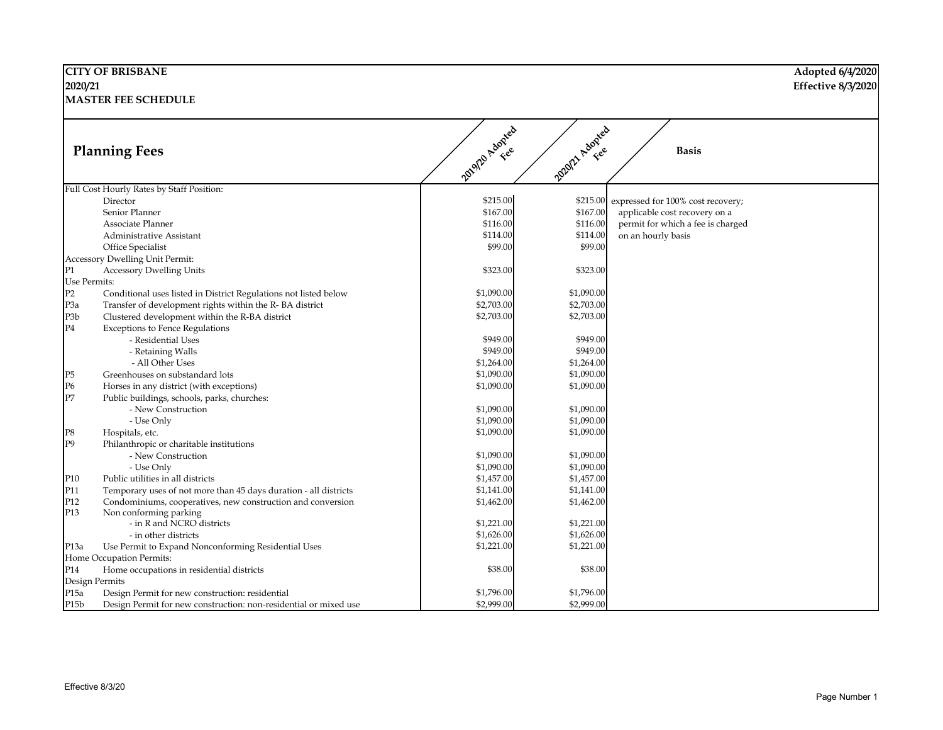|                  | <b>CITY OF BRISBANE</b>                                          |              |                 |                                            | Adopted 6/4/2020   |
|------------------|------------------------------------------------------------------|--------------|-----------------|--------------------------------------------|--------------------|
| 2020/21          |                                                                  |              |                 |                                            | Effective 8/3/2020 |
|                  | <b>MASTER FEE SCHEDULE</b>                                       |              |                 |                                            |                    |
|                  | <b>Planning Fees</b>                                             | 2012 Adopted | 2020/21 Adopted | <b>Basis</b>                               |                    |
|                  | Full Cost Hourly Rates by Staff Position:                        |              |                 |                                            |                    |
|                  | Director                                                         | \$215.00     |                 | \$215.00 expressed for 100% cost recovery; |                    |
|                  | Senior Planner                                                   | \$167.00     | \$167.00        | applicable cost recovery on a              |                    |
|                  | Associate Planner                                                | \$116.00     | \$116.00        | permit for which a fee is charged          |                    |
|                  | Administrative Assistant                                         | \$114.00     | \$114.00        | on an hourly basis                         |                    |
|                  | Office Specialist                                                | \$99.00      | \$99.00         |                                            |                    |
|                  | Accessory Dwelling Unit Permit:                                  |              |                 |                                            |                    |
| P1               | <b>Accessory Dwelling Units</b>                                  | \$323.00     | \$323.00        |                                            |                    |
| Use Permits:     |                                                                  |              |                 |                                            |                    |
| P2               | Conditional uses listed in District Regulations not listed below | \$1,090.00   | \$1,090.00      |                                            |                    |
| P <sub>3</sub> a | Transfer of development rights within the R-BA district          | \$2,703.00   | \$2,703.00      |                                            |                    |
| P <sub>3</sub> b | Clustered development within the R-BA district                   | \$2,703.00   | \$2,703.00      |                                            |                    |
| P4               | <b>Exceptions to Fence Regulations</b>                           |              |                 |                                            |                    |
|                  | - Residential Uses                                               | \$949.00     | \$949.00        |                                            |                    |
|                  | - Retaining Walls                                                | \$949.00     | \$949.00        |                                            |                    |
|                  | - All Other Uses                                                 | \$1,264.00   | \$1,264.00      |                                            |                    |
| P5               | Greenhouses on substandard lots                                  | \$1,090.00   | \$1,090.00      |                                            |                    |
| Р6               | Horses in any district (with exceptions)                         | \$1,090.00   | \$1,090.00      |                                            |                    |
| $P\overline{7}$  | Public buildings, schools, parks, churches:                      |              |                 |                                            |                    |
|                  | - New Construction                                               | \$1,090.00   | \$1,090.00      |                                            |                    |
|                  | - Use Only                                                       | \$1,090.00   | \$1,090.00      |                                            |                    |
| P8               | Hospitals, etc.                                                  | \$1,090.00   | \$1,090.00      |                                            |                    |
| P <sub>9</sub>   | Philanthropic or charitable institutions                         |              |                 |                                            |                    |
|                  | - New Construction                                               | \$1,090.00   | \$1,090.00      |                                            |                    |
|                  | - Use Only                                                       | \$1,090.00   | \$1,090.00      |                                            |                    |
| P10              | Public utilities in all districts                                | \$1,457.00   | \$1,457.00      |                                            |                    |
| P11              | Temporary uses of not more than 45 days duration - all districts | \$1,141.00   | \$1,141.00      |                                            |                    |
| P12              | Condominiums, cooperatives, new construction and conversion      | \$1,462.00   | \$1,462.00      |                                            |                    |
| P13              | Non conforming parking                                           |              |                 |                                            |                    |
|                  | - in R and NCRO districts                                        | \$1,221.00   | \$1,221.00      |                                            |                    |
|                  | - in other districts                                             | \$1,626.00   | \$1,626.00      |                                            |                    |
| P <sub>13a</sub> | Use Permit to Expand Nonconforming Residential Uses              | \$1,221.00   | \$1,221.00      |                                            |                    |
|                  | Home Occupation Permits:                                         |              |                 |                                            |                    |
| P14              | Home occupations in residential districts                        | \$38.00      | \$38.00         |                                            |                    |
|                  | Design Permits                                                   |              |                 |                                            |                    |
| P15a             | Design Permit for new construction: residential                  | \$1,796.00   | \$1,796.00      |                                            |                    |
| P15b             | Design Permit for new construction: non-residential or mixed use | \$2,999.00   | \$2,999.00      |                                            |                    |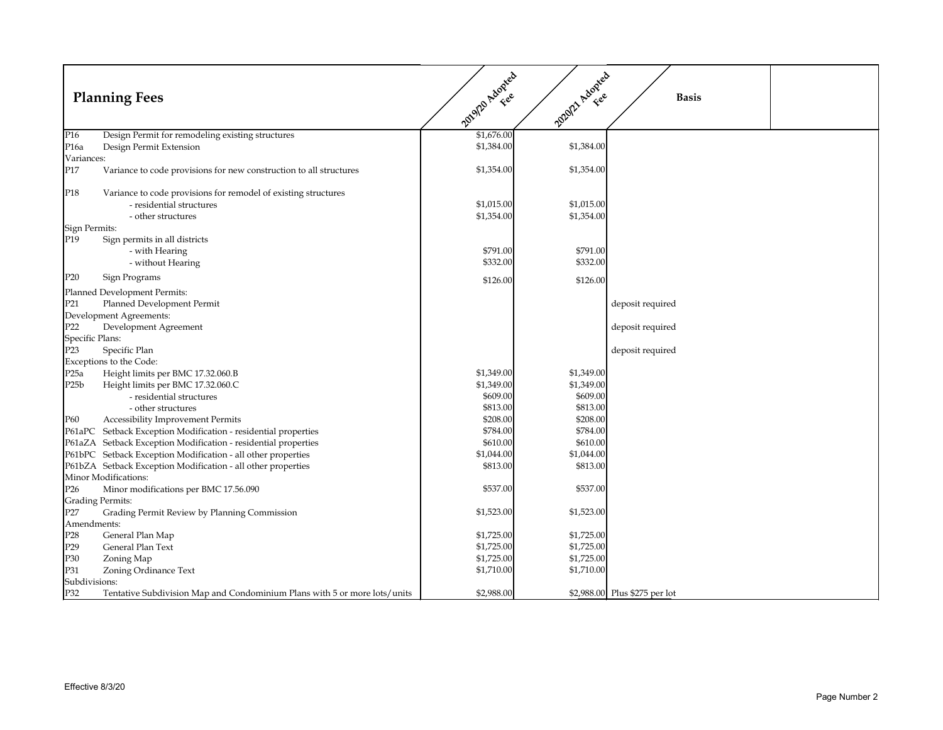|                                | <b>Planning Fees</b>                                                      | 2012 Adopted | 2020/21 Adopted | <b>Basis</b>                  |
|--------------------------------|---------------------------------------------------------------------------|--------------|-----------------|-------------------------------|
| P <sub>16</sub>                | Design Permit for remodeling existing structures                          | \$1,676.00   |                 |                               |
| P <sub>16a</sub>               | Design Permit Extension                                                   | \$1,384.00   | \$1,384.00      |                               |
| Variances:                     |                                                                           |              |                 |                               |
| P17                            | Variance to code provisions for new construction to all structures        | \$1,354.00   | \$1,354.00      |                               |
| P <sub>18</sub>                | Variance to code provisions for remodel of existing structures            |              |                 |                               |
|                                | - residential structures                                                  | \$1,015.00   | \$1,015.00      |                               |
|                                | - other structures                                                        | \$1,354.00   | \$1,354.00      |                               |
| Sign Permits:                  |                                                                           |              |                 |                               |
| P <sub>19</sub>                | Sign permits in all districts                                             | \$791.00     | \$791.00        |                               |
|                                | - with Hearing<br>- without Hearing                                       | \$332.00     | \$332.00        |                               |
|                                |                                                                           |              |                 |                               |
| P20                            | Sign Programs                                                             | \$126.00     | \$126.00        |                               |
|                                | Planned Development Permits:                                              |              |                 |                               |
| P21                            | Planned Development Permit                                                |              |                 | deposit required              |
|                                | Development Agreements:                                                   |              |                 |                               |
| P22                            | Development Agreement                                                     |              |                 | deposit required              |
| Specific Plans:                |                                                                           |              |                 |                               |
| P <sub>23</sub>                | Specific Plan                                                             |              |                 | deposit required              |
|                                | Exceptions to the Code:                                                   |              |                 |                               |
| P25a                           | Height limits per BMC 17.32.060.B                                         | \$1,349.00   | \$1,349.00      |                               |
| P <sub>25</sub> b              | Height limits per BMC 17.32.060.C                                         | \$1,349.00   | \$1,349.00      |                               |
|                                | - residential structures                                                  | \$609.00     | \$609.00        |                               |
|                                | - other structures                                                        | \$813.00     | \$813.00        |                               |
| P60                            | <b>Accessibility Improvement Permits</b>                                  | \$208.00     | \$208.00        |                               |
| P61aPC                         | Setback Exception Modification - residential properties                   | \$784.00     | \$784.00        |                               |
|                                | P61aZA Setback Exception Modification - residential properties            | \$610.00     | \$610.00        |                               |
|                                | P61bPC Setback Exception Modification - all other properties              | \$1,044.00   | \$1,044.00      |                               |
|                                | P61bZA Setback Exception Modification - all other properties              | \$813.00     | \$813.00        |                               |
|                                | Minor Modifications:                                                      |              |                 |                               |
| P <sub>26</sub>                | Minor modifications per BMC 17.56.090                                     | \$537.00     | \$537.00        |                               |
|                                | Grading Permits:<br>Grading Permit Review by Planning Commission          | \$1,523.00   | \$1,523.00      |                               |
| P27                            |                                                                           |              |                 |                               |
| Amendments:<br>P <sub>28</sub> | General Plan Map                                                          | \$1,725.00   | \$1,725.00      |                               |
| P29                            | General Plan Text                                                         | \$1,725.00   | \$1,725.00      |                               |
| P30                            | Zoning Map                                                                | \$1,725.00   | \$1,725.00      |                               |
| P31                            | Zoning Ordinance Text                                                     | \$1,710.00   | \$1,710.00      |                               |
| Subdivisions:                  |                                                                           |              |                 |                               |
| P32                            | Tentative Subdivision Map and Condominium Plans with 5 or more lots/units | \$2,988.00   |                 | \$2,988.00 Plus \$275 per lot |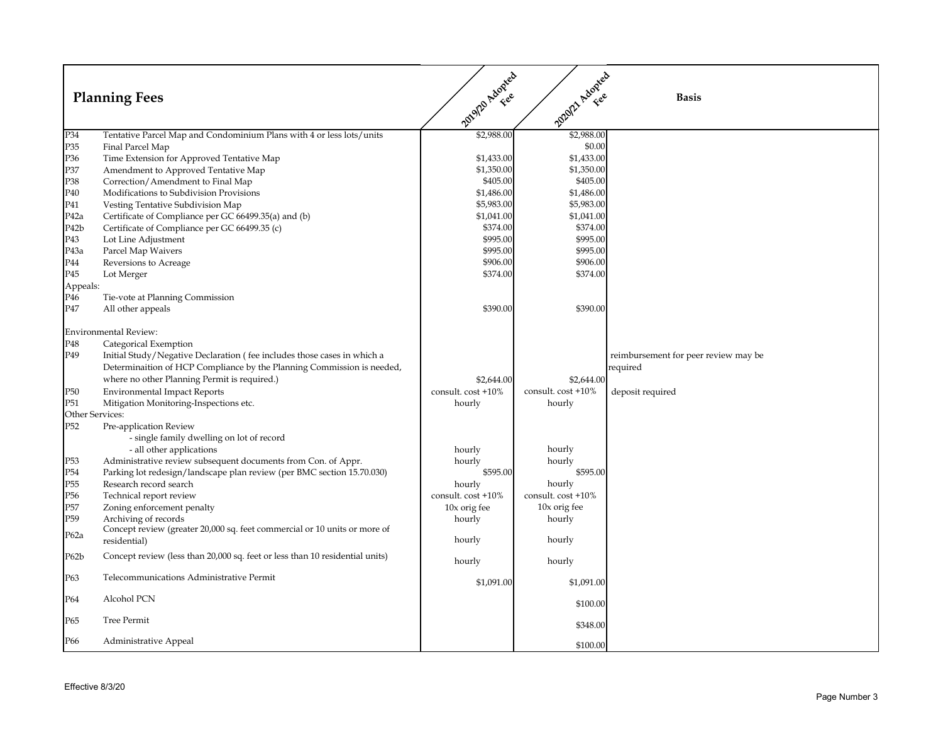|                   | <b>Planning Fees</b>                                                                      | 2019/12 Adopted    | 2020/21 Adopted    | <b>Basis</b>                         |
|-------------------|-------------------------------------------------------------------------------------------|--------------------|--------------------|--------------------------------------|
| P34               | Tentative Parcel Map and Condominium Plans with 4 or less lots/units                      | \$2,988.00         | \$2,988.00         |                                      |
| P35               | Final Parcel Map                                                                          |                    | \$0.00             |                                      |
| P <sub>36</sub>   | Time Extension for Approved Tentative Map                                                 | \$1,433.00         | \$1,433.00         |                                      |
| P37               | Amendment to Approved Tentative Map                                                       | \$1,350.00         | \$1,350.00         |                                      |
| P38               | Correction/Amendment to Final Map                                                         | \$405.00           | \$405.00           |                                      |
| P40               | Modifications to Subdivision Provisions                                                   | \$1,486.00         | \$1,486.00         |                                      |
| P41               | Vesting Tentative Subdivision Map                                                         | \$5,983.00         | \$5,983.00         |                                      |
| P <sub>42</sub> a | Certificate of Compliance per GC 66499.35(a) and (b)                                      | \$1,041.00         | \$1,041.00         |                                      |
| P <sub>42</sub> b | Certificate of Compliance per GC 66499.35 (c)                                             | \$374.00           | \$374.00           |                                      |
| P43               | Lot Line Adjustment                                                                       | \$995.00           | \$995.00           |                                      |
| P <sub>43a</sub>  | Parcel Map Waivers                                                                        | \$995.00           | \$995.00           |                                      |
| P44               | Reversions to Acreage                                                                     | \$906.00           | \$906.00           |                                      |
| P45               | Lot Merger                                                                                | \$374.00           | \$374.00           |                                      |
| Appeals:          |                                                                                           |                    |                    |                                      |
| P46               | Tie-vote at Planning Commission                                                           |                    |                    |                                      |
| P47               | All other appeals                                                                         | \$390.00           | \$390.00           |                                      |
|                   | <b>Environmental Review:</b>                                                              |                    |                    |                                      |
| P48               | Categorical Exemption                                                                     |                    |                    |                                      |
| P49               | Initial Study/Negative Declaration (fee includes those cases in which a                   |                    |                    | reimbursement for peer review may be |
|                   | Determinaition of HCP Compliance by the Planning Commission is needed,                    |                    |                    | required                             |
|                   | where no other Planning Permit is required.)                                              | \$2,644.00         | \$2,644.00         |                                      |
| P <sub>50</sub>   | <b>Environmental Impact Reports</b>                                                       | consult. cost +10% | consult. cost +10% | deposit required                     |
| P <sub>51</sub>   | Mitigation Monitoring-Inspections etc.                                                    | hourly             | hourly             |                                      |
| Other Services:   |                                                                                           |                    |                    |                                      |
| P <sub>52</sub>   | Pre-application Review                                                                    |                    |                    |                                      |
|                   | - single family dwelling on lot of record                                                 |                    |                    |                                      |
|                   | - all other applications                                                                  | hourly             | hourly             |                                      |
| P <sub>53</sub>   | Administrative review subsequent documents from Con. of Appr.                             | hourly             | hourly             |                                      |
| P <sub>54</sub>   | Parking lot redesign/landscape plan review (per BMC section 15.70.030)                    | \$595.00           | \$595.00           |                                      |
| P <sub>55</sub>   | Research record search                                                                    | hourly             | hourly             |                                      |
| P <sub>56</sub>   | Technical report review                                                                   | consult. cost +10% | consult. cost +10% |                                      |
| P <sub>57</sub>   | Zoning enforcement penalty                                                                | 10x orig fee       | 10x orig fee       |                                      |
| P59               | Archiving of records                                                                      | hourly             | hourly             |                                      |
| P62a              | Concept review (greater 20,000 sq. feet commercial or 10 units or more of<br>residential) | hourly             | hourly             |                                      |
| P62b              | Concept review (less than 20,000 sq. feet or less than 10 residential units)              | hourly             | hourly             |                                      |
| P63               | Telecommunications Administrative Permit                                                  | \$1,091.00         | \$1,091.00         |                                      |
| P64               | Alcohol PCN                                                                               |                    | \$100.00           |                                      |
| P65               | Tree Permit                                                                               |                    | \$348.00           |                                      |
| P66               | Administrative Appeal                                                                     |                    | \$100.00           |                                      |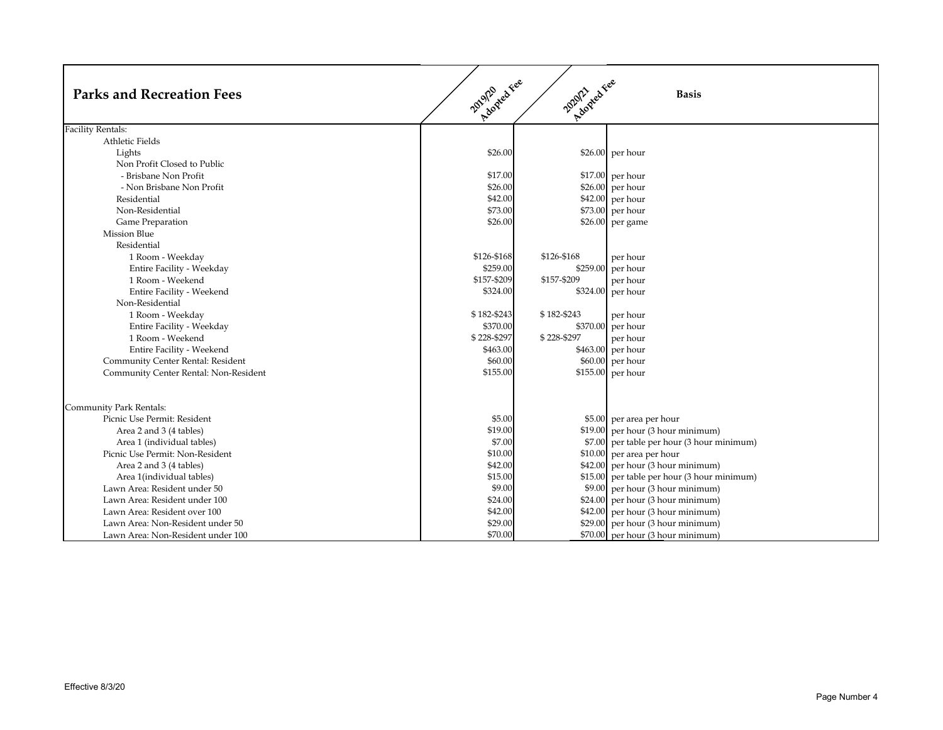| <b>Parks and Recreation Fees</b>                       | Adopted Fee<br>2019/20 | 20212 red Fee | <b>Basis</b>                                |
|--------------------------------------------------------|------------------------|---------------|---------------------------------------------|
| <b>Facility Rentals:</b>                               |                        |               |                                             |
| Athletic Fields                                        |                        |               |                                             |
| Lights                                                 | \$26.00                |               | $$26.00$ per hour                           |
| Non Profit Closed to Public                            |                        |               |                                             |
| - Brisbane Non Profit                                  | \$17.00                |               | $$17.00$ per hour                           |
| - Non Brisbane Non Profit                              | \$26.00                |               | $$26.00$ per hour                           |
| Residential                                            | \$42.00                |               | \$42.00 per hour                            |
| Non-Residential                                        | \$73.00                |               | \$73.00 per hour                            |
| Game Preparation                                       | \$26.00                |               | \$26.00 per game                            |
| <b>Mission Blue</b>                                    |                        |               |                                             |
| Residential                                            |                        |               |                                             |
| 1 Room - Weekday                                       | \$126-\$168            | \$126-\$168   | per hour                                    |
| Entire Facility - Weekday                              | \$259.00               |               | \$259.00 per hour                           |
| 1 Room - Weekend                                       | \$157-\$209            | \$157-\$209   | per hour                                    |
| Entire Facility - Weekend                              | \$324.00               |               | \$324.00 per hour                           |
| Non-Residential                                        |                        |               |                                             |
| 1 Room - Weekday                                       | \$182-\$243            | \$182-\$243   | per hour                                    |
| Entire Facility - Weekday                              | \$370.00               |               | \$370.00 per hour                           |
| 1 Room - Weekend                                       | \$228-\$297            | \$228-\$297   | per hour                                    |
| Entire Facility - Weekend                              | \$463.00               |               | \$463.00 per hour                           |
| Community Center Rental: Resident                      | \$60.00                |               | \$60.00 per hour                            |
| Community Center Rental: Non-Resident                  | \$155.00               |               | \$155.00 per hour                           |
|                                                        |                        |               |                                             |
| Community Park Rentals:<br>Picnic Use Permit: Resident | \$5.00                 |               | \$5.00 per area per hour                    |
|                                                        | \$19.00                |               |                                             |
| Area 2 and 3 (4 tables)                                |                        |               | \$19.00 per hour (3 hour minimum)           |
| Area 1 (individual tables)                             | \$7.00<br>\$10.00      |               | \$7.00 per table per hour (3 hour minimum)  |
| Picnic Use Permit: Non-Resident                        |                        |               | $$10.00$ per area per hour                  |
| Area 2 and 3 (4 tables)                                | \$42.00                |               | \$42.00 per hour (3 hour minimum)           |
| Area 1(individual tables)                              | \$15.00                |               | \$15.00 per table per hour (3 hour minimum) |
| Lawn Area: Resident under 50                           | \$9.00                 |               | \$9.00 per hour (3 hour minimum)            |
| Lawn Area: Resident under 100                          | \$24.00                |               | \$24.00 per hour (3 hour minimum)           |
| Lawn Area: Resident over 100                           | \$42.00                |               | $$42.00$ per hour (3 hour minimum)          |
| Lawn Area: Non-Resident under 50                       | \$29.00                |               | \$29.00 per hour (3 hour minimum)           |
| Lawn Area: Non-Resident under 100                      | \$70.00                |               | \$70.00 per hour (3 hour minimum)           |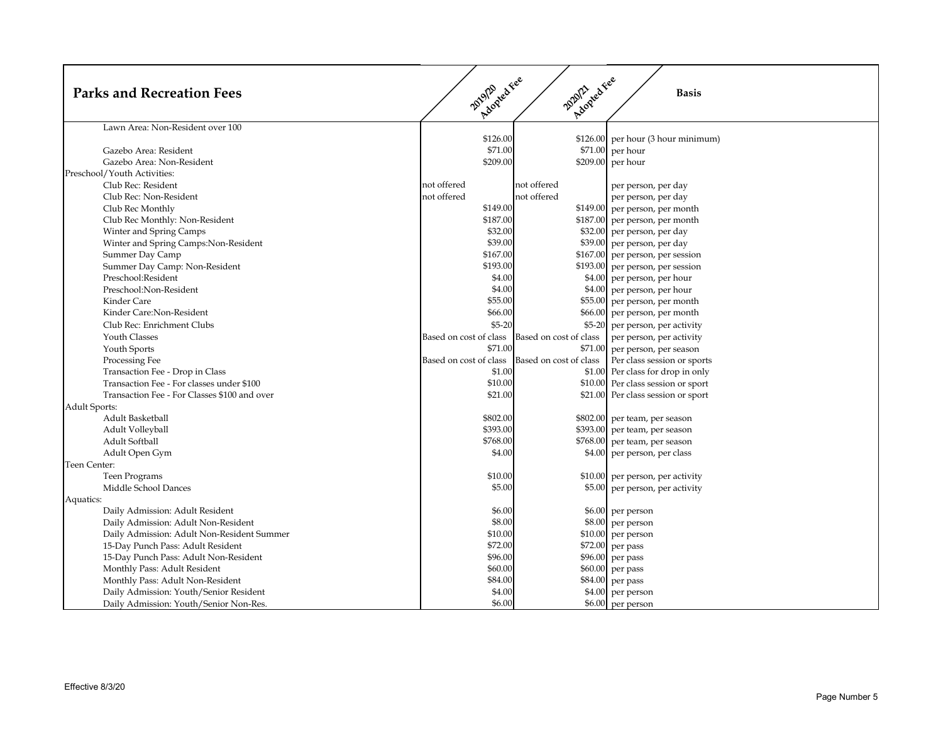| <b>Parks and Recreation Fees</b>                   | Acoycakee<br>20120              | Applaraties            | <b>Basis</b>                                                                  |
|----------------------------------------------------|---------------------------------|------------------------|-------------------------------------------------------------------------------|
| Lawn Area: Non-Resident over 100                   |                                 |                        |                                                                               |
| Gazebo Area: Resident<br>Gazebo Area: Non-Resident | \$126.00<br>\$71.00<br>\$209.00 |                        | $$126.00$ per hour (3 hour minimum)<br>$$71.00$ per hour<br>\$209.00 per hour |
| Preschool/Youth Activities:                        |                                 |                        |                                                                               |
| Club Rec: Resident                                 | not offered                     | not offered            | per person, per day                                                           |
| Club Rec: Non-Resident                             | not offered                     | not offered            | per person, per day                                                           |
| Club Rec Monthly                                   | \$149.00                        |                        | \$149.00 per person, per month                                                |
| Club Rec Monthly: Non-Resident                     | \$187.00                        |                        | \$187.00 per person, per month                                                |
| Winter and Spring Camps                            | \$32.00                         |                        | \$32.00 per person, per day                                                   |
| Winter and Spring Camps: Non-Resident              | \$39.00                         |                        | \$39.00 per person, per day                                                   |
| Summer Day Camp                                    | \$167.00                        |                        | \$167.00 per person, per session                                              |
| Summer Day Camp: Non-Resident                      | \$193.00                        |                        | \$193.00 per person, per session                                              |
| Preschool:Resident                                 | \$4.00                          |                        | \$4.00 per person, per hour                                                   |
| Preschool:Non-Resident                             | \$4.00                          |                        | \$4.00 per person, per hour                                                   |
| Kinder Care                                        | \$55.00                         |                        | \$55.00 per person, per month                                                 |
| Kinder Care:Non-Resident                           | \$66.00                         |                        | \$66.00 per person, per month                                                 |
| Club Rec: Enrichment Clubs                         | $$5-20$                         |                        | \$5-20 per person, per activity                                               |
| <b>Youth Classes</b>                               | Based on cost of class          | Based on cost of class | per person, per activity                                                      |
| Youth Sports                                       | \$71.00                         |                        | \$71.00 per person, per season                                                |
| Processing Fee                                     | Based on cost of class          | Based on cost of class | Per class session or sports                                                   |
| Transaction Fee - Drop in Class                    | \$1.00                          |                        | \$1.00 Per class for drop in only                                             |
| Transaction Fee - For classes under \$100          | \$10.00                         |                        | \$10.00 Per class session or sport                                            |
| Transaction Fee - For Classes \$100 and over       | \$21.00                         |                        | \$21.00 Per class session or sport                                            |
| <b>Adult Sports:</b><br>Adult Basketball           | \$802.00                        |                        |                                                                               |
| Adult Volleyball                                   | \$393.00                        |                        | \$802.00 per team, per season<br>\$393.00 per team, per season                |
| Adult Softball                                     | \$768.00                        |                        | \$768.00 per team, per season                                                 |
| Adult Open Gym                                     | \$4.00                          |                        | \$4.00 per person, per class                                                  |
| Teen Center:                                       |                                 |                        |                                                                               |
| Teen Programs                                      | \$10.00                         |                        | \$10.00 per person, per activity                                              |
| Middle School Dances                               | \$5.00                          |                        | \$5.00 per person, per activity                                               |
| Aquatics:                                          |                                 |                        |                                                                               |
| Daily Admission: Adult Resident                    | \$6.00                          |                        | \$6.00 per person                                                             |
| Daily Admission: Adult Non-Resident                | \$8.00                          |                        | \$8.00 per person                                                             |
| Daily Admission: Adult Non-Resident Summer         | \$10.00                         |                        | \$10.00 per person                                                            |
| 15-Day Punch Pass: Adult Resident                  | \$72.00                         |                        | \$72.00 per pass                                                              |
| 15-Day Punch Pass: Adult Non-Resident              | \$96.00                         |                        | \$96.00 per pass                                                              |
| Monthly Pass: Adult Resident                       | \$60.00                         |                        | \$60.00 per pass                                                              |
| Monthly Pass: Adult Non-Resident                   | \$84.00                         |                        | \$84.00 per pass                                                              |
| Daily Admission: Youth/Senior Resident             | \$4.00                          |                        | \$4.00 per person                                                             |
| Daily Admission: Youth/Senior Non-Res.             | \$6.00                          |                        | \$6.00 per person                                                             |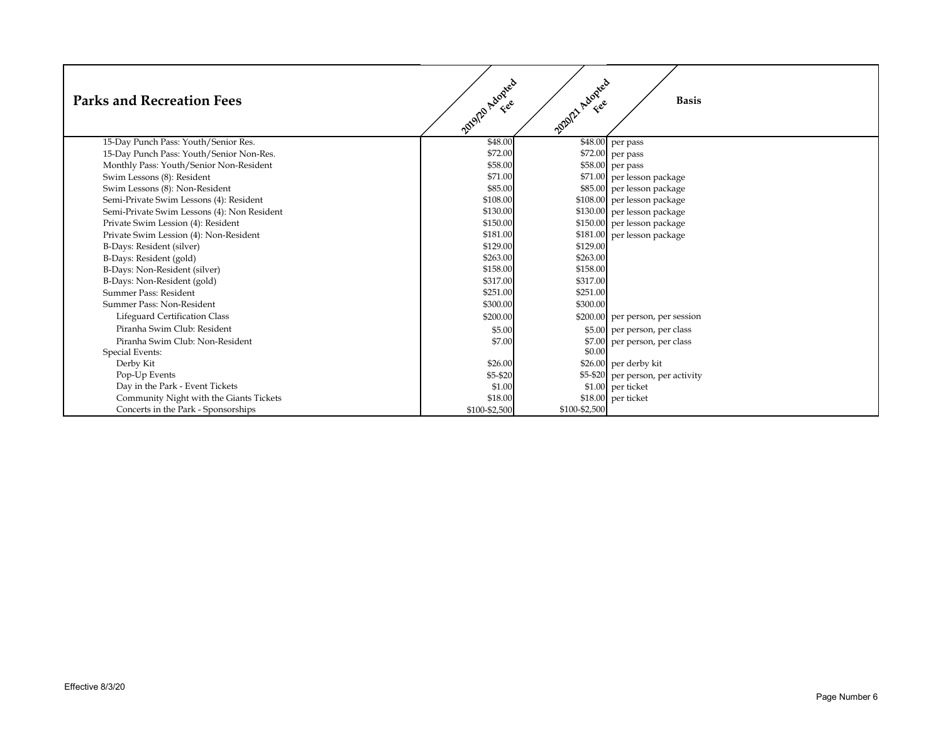| <b>Parks and Recreation Fees</b>            | 2019/2 Adopted | 2020/2 Adopted | <b>Basis</b>                      |
|---------------------------------------------|----------------|----------------|-----------------------------------|
| 15-Day Punch Pass: Youth/Senior Res.        | \$48.00        |                | $\overline{$}48.00$ per pass      |
| 15-Day Punch Pass: Youth/Senior Non-Res.    | \$72.00        |                | \$72.00 per pass                  |
| Monthly Pass: Youth/Senior Non-Resident     | \$58.00        |                | \$58.00 per pass                  |
| Swim Lessons (8): Resident                  | \$71.00        |                | \$71.00 per lesson package        |
| Swim Lessons (8): Non-Resident              | \$85.00        |                | \$85.00 per lesson package        |
| Semi-Private Swim Lessons (4): Resident     | \$108.00       |                | \$108.00 per lesson package       |
| Semi-Private Swim Lessons (4): Non Resident | \$130.00       |                | \$130.00 per lesson package       |
| Private Swim Lession (4): Resident          | \$150.00       |                | \$150.00 per lesson package       |
| Private Swim Lession (4): Non-Resident      | \$181.00       |                | \$181.00 per lesson package       |
| B-Days: Resident (silver)                   | \$129.00       | \$129.00       |                                   |
| B-Days: Resident (gold)                     | \$263.00       | \$263.00       |                                   |
| B-Days: Non-Resident (silver)               | \$158.00       | \$158.00       |                                   |
| B-Days: Non-Resident (gold)                 | \$317.00       | \$317.00       |                                   |
| Summer Pass: Resident                       | \$251.00       | \$251.00       |                                   |
| Summer Pass: Non-Resident                   | \$300.00       | \$300.00       |                                   |
| Lifeguard Certification Class               | \$200.00       |                | \$200.00 per person, per session  |
| Piranha Swim Club: Resident                 | \$5.00         |                | \$5.00 per person, per class      |
| Piranha Swim Club: Non-Resident             | \$7.00         | \$7.00         | per person, per class             |
| <b>Special Events:</b>                      |                | \$0.00         |                                   |
| Derby Kit                                   | \$26.00        |                | $$26.00$ per derby kit            |
| Pop-Up Events                               | \$5-\$20       |                | \$5-\$20 per person, per activity |
| Day in the Park - Event Tickets             | \$1.00         |                | $$1.00$ per ticket                |
| Community Night with the Giants Tickets     | \$18.00        |                | \$18.00 per ticket                |
| Concerts in the Park - Sponsorships         | \$100-\$2,500  | \$100-\$2,500  |                                   |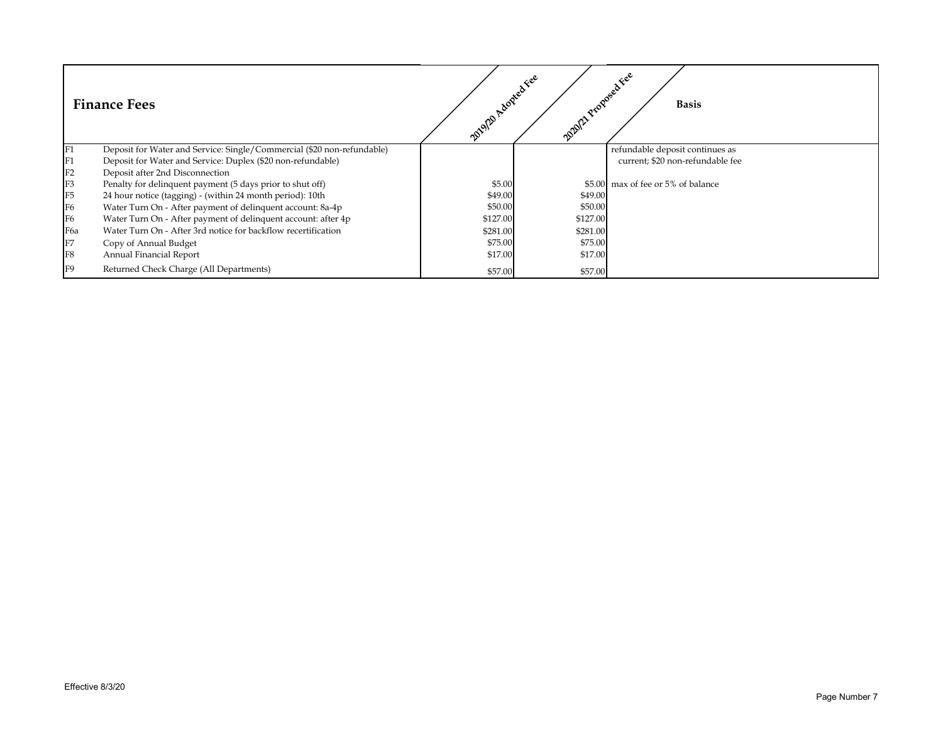|                 | <b>Finance Fees</b>                                                    | 2012 Adopted Fee | 2012 Proposed Fee | <b>Basis</b>                       |
|-----------------|------------------------------------------------------------------------|------------------|-------------------|------------------------------------|
| F1              | Deposit for Water and Service: Single/Commercial (\$20 non-refundable) |                  |                   | refundable deposit continues as    |
| F1              | Deposit for Water and Service: Duplex (\$20 non-refundable)            |                  |                   | current; \$20 non-refundable fee   |
| F2              | Deposit after 2nd Disconnection                                        |                  |                   |                                    |
| $\frac{F3}{F5}$ | Penalty for delinquent payment (5 days prior to shut off)              | \$5.00           |                   | \$5.00 max of fee or 5% of balance |
|                 | 24 hour notice (tagging) - (within 24 month period): 10th              | \$49.00          | \$49.00           |                                    |
| F <sub>6</sub>  | Water Turn On - After payment of delinquent account: 8a-4p             | \$50.00          | \$50.00           |                                    |
| F <sub>6</sub>  | Water Turn On - After payment of delinquent account: after 4p          | \$127.00         | \$127.00          |                                    |
| F <sub>6a</sub> | Water Turn On - After 3rd notice for backflow recertification          | \$281.00         | \$281.00          |                                    |
| ${\rm F}7$      | Copy of Annual Budget                                                  | \$75.00          | \$75.00           |                                    |
| F <sub>8</sub>  | Annual Financial Report                                                | \$17.00          | \$17.00           |                                    |
| F <sub>9</sub>  | Returned Check Charge (All Departments)                                | \$57.00          | \$57.00           |                                    |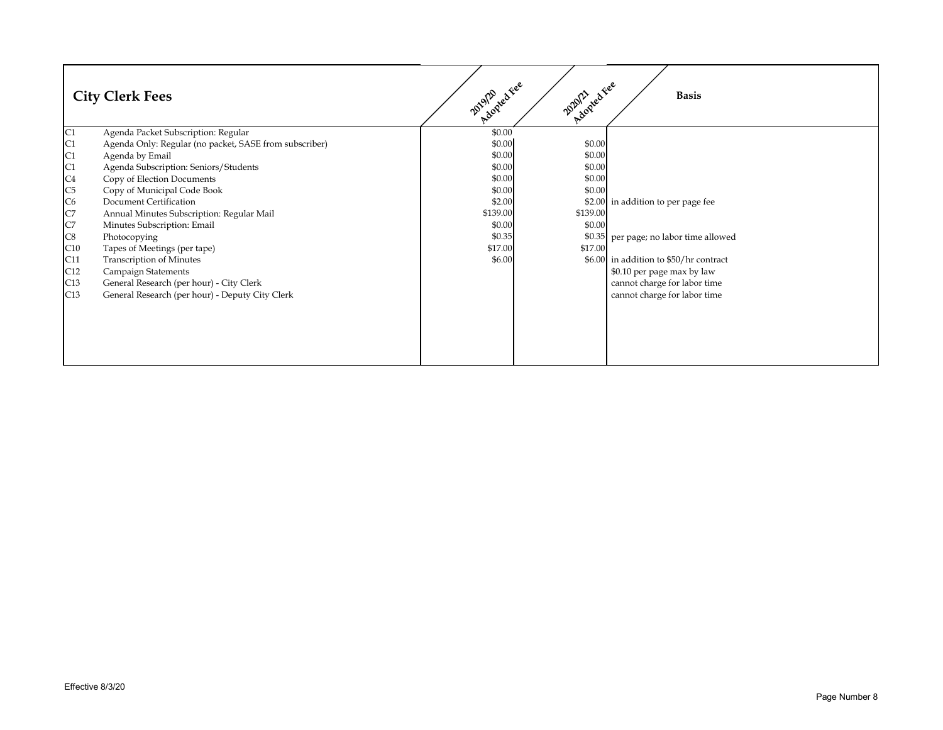|                      | <b>City Clerk Fees</b>                                 | Adopted Fee<br>2019/20 | 2012 red Fee | <b>Basis</b>                           |
|----------------------|--------------------------------------------------------|------------------------|--------------|----------------------------------------|
| $\overline{C1}$      | Agenda Packet Subscription: Regular                    | \$0.00                 |              |                                        |
|                      | Agenda Only: Regular (no packet, SASE from subscriber) | \$0.00                 | \$0.00       |                                        |
|                      | Agenda by Email                                        | \$0.00                 | \$0.00       |                                        |
|                      | Agenda Subscription: Seniors/Students                  | \$0.00                 | \$0.00       |                                        |
|                      | Copy of Election Documents                             | \$0.00                 | \$0.00       |                                        |
|                      | Copy of Municipal Code Book                            | \$0.00                 | \$0.00       |                                        |
|                      | <b>Document Certification</b>                          | \$2.00                 |              | \$2.00 in addition to per page fee     |
| C1 C1 C4 C5 C6 C7 C8 | Annual Minutes Subscription: Regular Mail              | \$139.00               | \$139.00     |                                        |
|                      | Minutes Subscription: Email                            | \$0.00                 | \$0.00       |                                        |
|                      | Photocopying                                           | \$0.35                 |              | \$0.35 per page; no labor time allowed |
| C10                  | Tapes of Meetings (per tape)                           | \$17.00                | \$17.00      |                                        |
| C11                  | <b>Transcription of Minutes</b>                        | \$6.00                 |              | \$6.00 in addition to \$50/hr contract |
| C12                  | <b>Campaign Statements</b>                             |                        |              | \$0.10 per page max by law             |
| C13                  | General Research (per hour) - City Clerk               |                        |              | cannot charge for labor time           |
| C13                  | General Research (per hour) - Deputy City Clerk        |                        |              | cannot charge for labor time           |
|                      |                                                        |                        |              |                                        |
|                      |                                                        |                        |              |                                        |
|                      |                                                        |                        |              |                                        |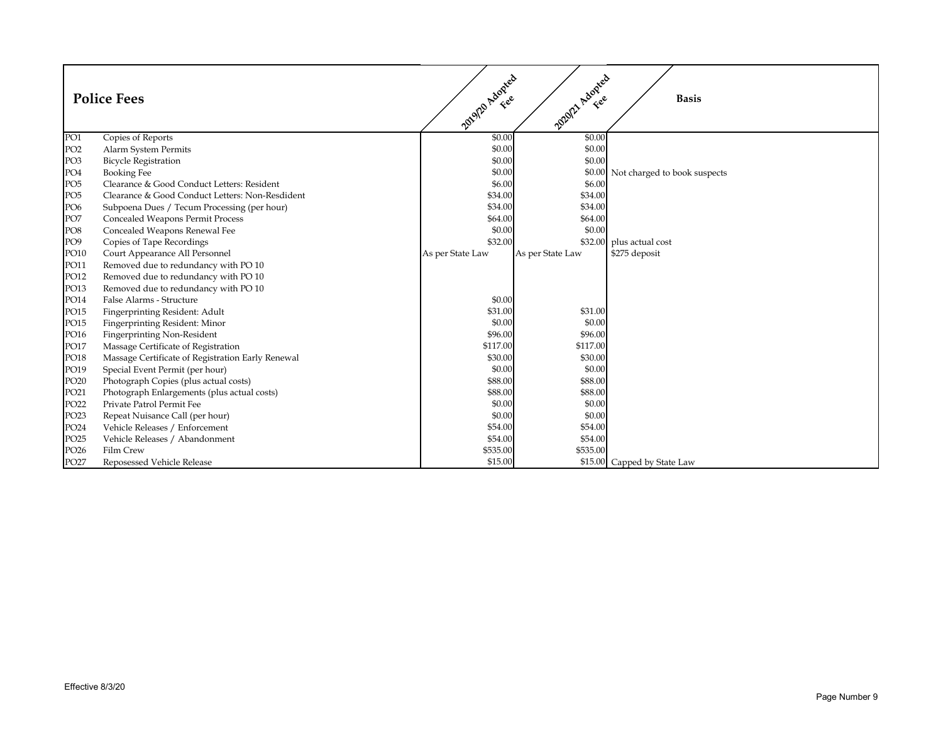|                  | <b>Police Fees</b>                                | 2012 Adopted     | 2020/21 Adopted  | <b>Basis</b>                        |
|------------------|---------------------------------------------------|------------------|------------------|-------------------------------------|
| PO1              | Copies of Reports                                 | \$0.00           | \$0.00           |                                     |
| PO <sub>2</sub>  | Alarm System Permits                              | \$0.00           | \$0.00           |                                     |
| PO <sub>3</sub>  | <b>Bicycle Registration</b>                       | \$0.00           | \$0.00           |                                     |
| PO <sub>4</sub>  | <b>Booking Fee</b>                                | \$0.00           |                  | \$0.00 Not charged to book suspects |
| PO <sub>5</sub>  | Clearance & Good Conduct Letters: Resident        | \$6.00           | \$6.00           |                                     |
| PO <sub>5</sub>  | Clearance & Good Conduct Letters: Non-Resdident   | \$34.00          | \$34.00          |                                     |
| PO <sub>6</sub>  | Subpoena Dues / Tecum Processing (per hour)       | \$34.00          | \$34.00          |                                     |
| PO7              | <b>Concealed Weapons Permit Process</b>           | \$64.00          | \$64.00          |                                     |
| PO <sub>8</sub>  | Concealed Weapons Renewal Fee                     | \$0.00           | \$0.00           |                                     |
| PO <sub>9</sub>  | Copies of Tape Recordings                         | \$32.00          |                  | \$32.00 plus actual cost            |
| PO10             | Court Appearance All Personnel                    | As per State Law | As per State Law | \$275 deposit                       |
| PO11             | Removed due to redundancy with PO 10              |                  |                  |                                     |
| PO12             | Removed due to redundancy with PO 10              |                  |                  |                                     |
| PO13             | Removed due to redundancy with PO 10              |                  |                  |                                     |
| PO14             | False Alarms - Structure                          | \$0.00           |                  |                                     |
| PO15             | Fingerprinting Resident: Adult                    | \$31.00          | \$31.00          |                                     |
| PO15             | Fingerprinting Resident: Minor                    | \$0.00           | \$0.00           |                                     |
| PO16             | <b>Fingerprinting Non-Resident</b>                | \$96.00          | \$96.00          |                                     |
| PO17             | Massage Certificate of Registration               | \$117.00         | \$117.00         |                                     |
| PO18             | Massage Certificate of Registration Early Renewal | \$30.00          | \$30.00          |                                     |
| PO19             | Special Event Permit (per hour)                   | \$0.00           | \$0.00           |                                     |
| PO <sub>20</sub> | Photograph Copies (plus actual costs)             | \$88.00          | \$88.00          |                                     |
| PO21             | Photograph Enlargements (plus actual costs)       | \$88.00          | \$88.00          |                                     |
| PO <sub>22</sub> | Private Patrol Permit Fee                         | \$0.00           | \$0.00           |                                     |
| PO <sub>23</sub> | Repeat Nuisance Call (per hour)                   | \$0.00           | \$0.00           |                                     |
| PO <sub>24</sub> | Vehicle Releases / Enforcement                    | \$54.00          | \$54.00          |                                     |
| PO <sub>25</sub> | Vehicle Releases / Abandonment                    | \$54.00          | \$54.00          |                                     |
| PO <sub>26</sub> | Film Crew                                         | \$535.00         | \$535.00         |                                     |
| PO27             | Reposessed Vehicle Release                        | \$15.00          |                  | \$15.00 Capped by State Law         |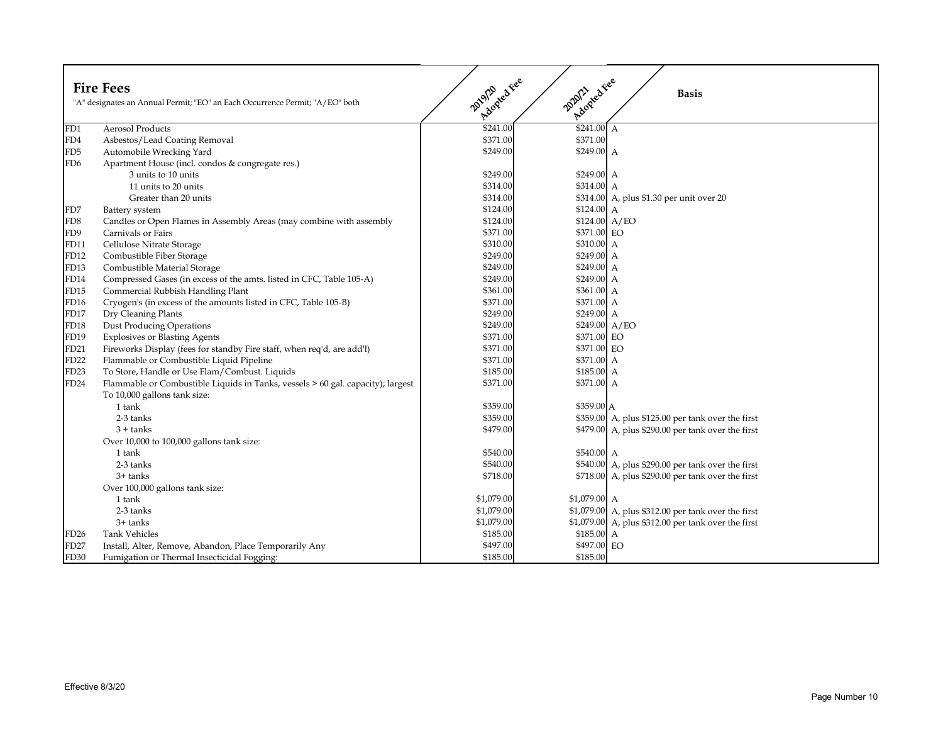|                  | <b>Fire Fees</b><br>"A" designates an Annual Permit; "EO" an Each Occurrence Permit; "A/EO" both | Adopted Fee<br>20120 | Adopted Fee<br>2020/21 | <b>Basis</b>                                         |
|------------------|--------------------------------------------------------------------------------------------------|----------------------|------------------------|------------------------------------------------------|
| FD1              | <b>Aerosol Products</b>                                                                          | \$241.00             | $$241.00$ A            |                                                      |
| FD4              | Asbestos/Lead Coating Removal                                                                    | \$371.00             | \$371.00               |                                                      |
| FD5              | Automobile Wrecking Yard                                                                         | \$249.00             | \$249.00 A             |                                                      |
| FD6              | Apartment House (incl. condos & congregate res.)                                                 |                      |                        |                                                      |
|                  | 3 units to 10 units                                                                              | \$249.00             | \$249.00 A             |                                                      |
|                  | 11 units to 20 units                                                                             | \$314.00             | \$314.00 A             |                                                      |
|                  | Greater than 20 units                                                                            | \$314.00             |                        | \$314.00 A, plus \$1.30 per unit over 20             |
| FD7              | Battery system                                                                                   | \$124.00             | \$124.00 A             |                                                      |
| FD <sub>8</sub>  | Candles or Open Flames in Assembly Areas (may combine with assembly                              | \$124.00             | $$124.00\;A/EO$        |                                                      |
| FD9              | Carnivals or Fairs                                                                               | \$371.00             | \$371.00 EO            |                                                      |
| FD11             | Cellulose Nitrate Storage                                                                        | \$310.00             | \$310.00 A             |                                                      |
| FD12             | Combustible Fiber Storage                                                                        | \$249.00             | \$249.00 A             |                                                      |
| FD13             | Combustible Material Storage                                                                     | \$249.00             | \$249.00 A             |                                                      |
| FD14             | Compressed Gases (in excess of the amts. listed in CFC, Table 105-A)                             | \$249.00             | \$249.00 A             |                                                      |
| FD15             | Commercial Rubbish Handling Plant                                                                | \$361.00             | \$361.00 A             |                                                      |
| FD16             | Cryogen's (in excess of the amounts listed in CFC, Table 105-B)                                  | \$371.00             | \$371.00 A             |                                                      |
| FD17             | Dry Cleaning Plants                                                                              | \$249.00             | \$249.00 A             |                                                      |
| FD18             | <b>Dust Producing Operations</b>                                                                 | \$249.00             | \$249.00 A/EO          |                                                      |
| FD19             | <b>Explosives or Blasting Agents</b>                                                             | \$371.00             | \$371.00 EO            |                                                      |
| FD21             | Fireworks Display (fees for standby Fire staff, when req'd, are add'l)                           | \$371.00             | \$371.00 EO            |                                                      |
| FD22             | Flammable or Combustible Liquid Pipeline                                                         | \$371.00             | \$371.00 A             |                                                      |
| FD23             | To Store, Handle or Use Flam/Combust. Liquids                                                    | \$185.00             | \$185.00 A             |                                                      |
| FD <sub>24</sub> | Flammable or Combustible Liquids in Tanks, vessels > 60 gal. capacity); largest                  | \$371.00             | \$371.00 A             |                                                      |
|                  | To 10,000 gallons tank size:                                                                     |                      |                        |                                                      |
|                  | 1 tank                                                                                           | \$359.00             | \$359.00 A             |                                                      |
|                  | 2-3 tanks                                                                                        | \$359.00             |                        | $$359.00$ A, plus \$125.00 per tank over the first   |
|                  | $3 + \text{tanks}$                                                                               | \$479.00             |                        | \$479.00 A, plus \$290.00 per tank over the first    |
|                  | Over 10,000 to 100,000 gallons tank size:                                                        |                      |                        |                                                      |
|                  | 1 tank                                                                                           | \$540.00             | \$540.00 A             |                                                      |
|                  | 2-3 tanks                                                                                        | \$540.00             |                        | \$540.00 A, plus \$290.00 per tank over the first    |
|                  | 3+ tanks                                                                                         | \$718.00             |                        | $$718.00$ A, plus \$290.00 per tank over the first   |
|                  | Over 100,000 gallons tank size:                                                                  |                      |                        |                                                      |
|                  | 1 tank                                                                                           | \$1,079.00           | $$1,079.00$ A          |                                                      |
|                  | 2-3 tanks                                                                                        | \$1,079.00           |                        | \$1,079.00 A, plus \$312.00 per tank over the first  |
|                  | 3+ tanks                                                                                         | \$1,079.00           |                        | $$1,079.00$ A, plus \$312.00 per tank over the first |
| FD26             | <b>Tank Vehicles</b>                                                                             | \$185.00             | \$185.00 A             |                                                      |
| FD27             | Install, Alter, Remove, Abandon, Place Temporarily Any                                           | \$497.00             | \$497.00 EO            |                                                      |
| FD30             | Fumigation or Thermal Insecticidal Fogging:                                                      | \$185.00             | \$185.00               |                                                      |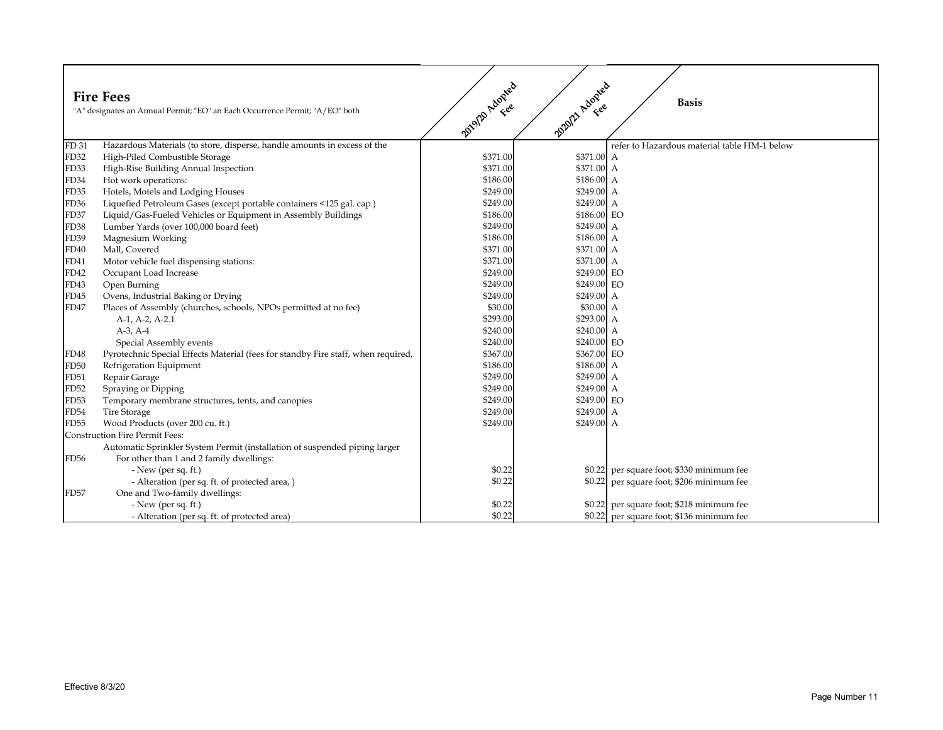|                  | <b>Fire Fees</b><br>"A" designates an Annual Permit; "EO" an Each Occurrence Permit; "A/EO" both | 2012 Adopted | 2020/21 Adopted | <b>Basis</b>                                 |
|------------------|--------------------------------------------------------------------------------------------------|--------------|-----------------|----------------------------------------------|
| FD 31            | Hazardous Materials (to store, disperse, handle amounts in excess of the                         |              |                 | refer to Hazardous material table HM-1 below |
| <b>FD32</b>      | High-Piled Combustible Storage                                                                   | \$371.00     | \$371.00 A      |                                              |
| FD33             | High-Rise Building Annual Inspection                                                             | \$371.00     | \$371.00 A      |                                              |
| FD34             | Hot work operations:                                                                             | \$186.00     | \$186.00 A      |                                              |
| FD35             | Hotels, Motels and Lodging Houses                                                                | \$249.00     | \$249.00 A      |                                              |
| FD <sub>36</sub> | Liquefied Petroleum Gases (except portable containers <125 gal. cap.)                            | \$249.00     | \$249.00 A      |                                              |
| FD37             | Liquid/Gas-Fueled Vehicles or Equipment in Assembly Buildings                                    | \$186.00     | \$186.00 EO     |                                              |
| FD38             | Lumber Yards (over 100,000 board feet)                                                           | \$249.00     | $$249.00$ A     |                                              |
| FD39             | Magnesium Working                                                                                | \$186.00     | \$186.00 A      |                                              |
| <b>FD40</b>      | Mall, Covered                                                                                    | \$371.00     | \$371.00 A      |                                              |
| FD41             | Motor vehicle fuel dispensing stations:                                                          | \$371.00     | \$371.00 A      |                                              |
| FD42             | Occupant Load Increase                                                                           | \$249.00     | \$249.00 EO     |                                              |
| FD43             | Open Burning                                                                                     | \$249.00     | \$249.00 EO     |                                              |
| FD45             | Ovens, Industrial Baking or Drying                                                               | \$249.00     | \$249.00 A      |                                              |
| <b>FD47</b>      | Places of Assembly (churches, schools, NPOs permitted at no fee)                                 | \$30.00      | \$30.00 A       |                                              |
|                  | A-1, A-2, A-2.1                                                                                  | \$293.00     | \$293.00 A      |                                              |
|                  | $A-3, A-4$                                                                                       | \$240.00     | \$240.00 A      |                                              |
|                  | Special Assembly events                                                                          | \$240.00     | \$240.00 EO     |                                              |
| FD48             | Pyrotechnic Special Effects Material (fees for standby Fire staff, when required,                | \$367.00     | \$367.00 EO     |                                              |
| FD50             | Refrigeration Equipment                                                                          | \$186.00     | \$186.00 A      |                                              |
| <b>FD51</b>      | Repair Garage                                                                                    | \$249.00     | \$249.00 A      |                                              |
| <b>FD52</b>      | Spraying or Dipping                                                                              | \$249.00     | \$249.00 A      |                                              |
| FD53             | Temporary membrane structures, tents, and canopies                                               | \$249.00     | \$249.00 EO     |                                              |
| FD54             | <b>Tire Storage</b>                                                                              | \$249.00     | \$249.00 A      |                                              |
| <b>FD55</b>      | Wood Products (over 200 cu. ft.)                                                                 | \$249.00     | \$249.00 A      |                                              |
|                  | <b>Construction Fire Permit Fees:</b>                                                            |              |                 |                                              |
|                  | Automatic Sprinkler System Permit (installation of suspended piping larger                       |              |                 |                                              |
| FD56             | For other than 1 and 2 family dwellings:                                                         |              |                 |                                              |
|                  | $-$ New (per sq. ft.)                                                                            | \$0.22       |                 | \$0.22 per square foot; \$330 minimum fee    |
|                  | - Alteration (per sq. ft. of protected area, )                                                   | \$0.22       |                 | \$0.22 per square foot; \$206 minimum fee    |
| <b>FD57</b>      | One and Two-family dwellings:                                                                    |              |                 |                                              |
|                  | $-$ New (per sq. ft.)                                                                            | \$0.22       |                 | \$0.22 per square foot; \$218 minimum fee    |
|                  | - Alteration (per sq. ft. of protected area)                                                     | \$0.22       |                 | \$0.22 per square foot; \$136 minimum fee    |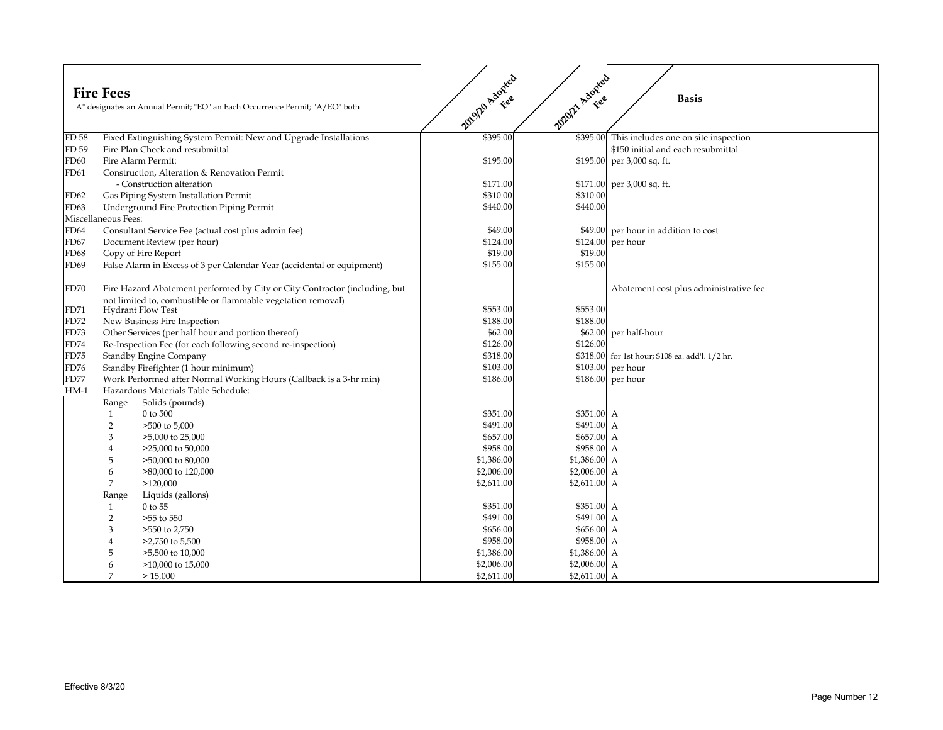|        | <b>Fire Fees</b>    | "A" designates an Annual Permit; "EO" an Each Occurrence Permit; "A/EO" both                                                               | 2012/Adopted | 2020/21 Adopted | <b>Basis</b>                                    |
|--------|---------------------|--------------------------------------------------------------------------------------------------------------------------------------------|--------------|-----------------|-------------------------------------------------|
| FD 58  |                     | Fixed Extinguishing System Permit: New and Upgrade Installations                                                                           | \$395.00     | \$395.00        | This includes one on site inspection            |
| FD 59  |                     | Fire Plan Check and resubmittal                                                                                                            |              |                 | \$150 initial and each resubmittal              |
| FD60   |                     | Fire Alarm Permit:                                                                                                                         | \$195.00     |                 | \$195.00 per 3,000 sq. ft.                      |
| FD61   |                     | Construction, Alteration & Renovation Permit                                                                                               |              |                 |                                                 |
|        |                     | - Construction alteration                                                                                                                  | \$171.00     |                 | $$171.00$ per 3,000 sq. ft.                     |
| FD62   |                     | Gas Piping System Installation Permit                                                                                                      | \$310.00     | \$310.00        |                                                 |
| FD63   |                     | Underground Fire Protection Piping Permit                                                                                                  | \$440.00     | \$440.00        |                                                 |
|        | Miscellaneous Fees: |                                                                                                                                            |              |                 |                                                 |
| FD64   |                     | Consultant Service Fee (actual cost plus admin fee)                                                                                        | \$49.00      |                 | \$49.00 per hour in addition to cost            |
| FD67   |                     | Document Review (per hour)                                                                                                                 | \$124.00     |                 | \$124.00 per hour                               |
| FD68   |                     | Copy of Fire Report                                                                                                                        | \$19.00      | \$19.00         |                                                 |
| FD69   |                     | False Alarm in Excess of 3 per Calendar Year (accidental or equipment)                                                                     | \$155.00     | \$155.00        |                                                 |
| FD70   |                     | Fire Hazard Abatement performed by City or City Contractor (including, but<br>not limited to, combustible or flammable vegetation removal) |              |                 | Abatement cost plus administrative fee          |
| FD71   |                     | <b>Hydrant Flow Test</b>                                                                                                                   | \$553.00     | \$553.00        |                                                 |
| FD72   |                     | New Business Fire Inspection                                                                                                               | \$188.00     | \$188.00        |                                                 |
| FD73   |                     | Other Services (per half hour and portion thereof)                                                                                         | \$62.00      |                 | \$62.00 per half-hour                           |
| FD74   |                     | Re-Inspection Fee (for each following second re-inspection)                                                                                | \$126.00     | \$126.00        |                                                 |
| FD75   |                     | <b>Standby Engine Company</b>                                                                                                              | \$318.00     |                 | \$318.00 for 1st hour; \$108 ea. add'l. 1/2 hr. |
| FD76   |                     | Standby Firefighter (1 hour minimum)                                                                                                       | \$103.00     |                 | \$103.00 per hour                               |
| FD77   |                     | Work Performed after Normal Working Hours (Callback is a 3-hr min)                                                                         | \$186.00     |                 | \$186.00 per hour                               |
| $HM-1$ |                     | Hazardous Materials Table Schedule:                                                                                                        |              |                 |                                                 |
|        | Range               | Solids (pounds)                                                                                                                            |              |                 |                                                 |
|        |                     | 0 to 500                                                                                                                                   | \$351.00     | \$351.00 A      |                                                 |
|        |                     | >500 to 5,000                                                                                                                              | \$491.00     | \$491.00 A      |                                                 |
|        |                     | >5,000 to 25,000                                                                                                                           | \$657.00     | \$657.00 A      |                                                 |
|        |                     | >25,000 to 50,000                                                                                                                          | \$958.00     | \$958.00 A      |                                                 |
|        | Э                   | >50,000 to 80,000                                                                                                                          | \$1,386.00   | \$1,386.00 A    |                                                 |
|        | 6                   | >80,000 to 120,000                                                                                                                         | \$2,006.00   | $$2,006.00$ A   |                                                 |
|        | 7                   | >120,000                                                                                                                                   | \$2,611.00   | $$2,611.00$ A   |                                                 |
|        | Range               | Liquids (gallons)                                                                                                                          |              |                 |                                                 |
|        | 1                   | 0 to 55                                                                                                                                    | \$351.00     | \$351.00 A      |                                                 |
|        | $\overline{2}$      | >55 to 550                                                                                                                                 | \$491.00     | \$491.00 A      |                                                 |
|        | 3                   | >550 to 2,750                                                                                                                              | \$656.00     | \$656.00 A      |                                                 |
|        | 4                   | >2,750 to 5,500                                                                                                                            | \$958.00     | \$958.00 A      |                                                 |
|        | 5                   | $>5,500$ to 10,000                                                                                                                         | \$1,386.00   | $$1,386.00$ A   |                                                 |
|        | 6                   | >10,000 to 15,000                                                                                                                          | \$2,006.00   | $$2,006.00$ A   |                                                 |
|        | 7                   | > 15,000                                                                                                                                   | \$2,611.00   | $$2,611.00$ A   |                                                 |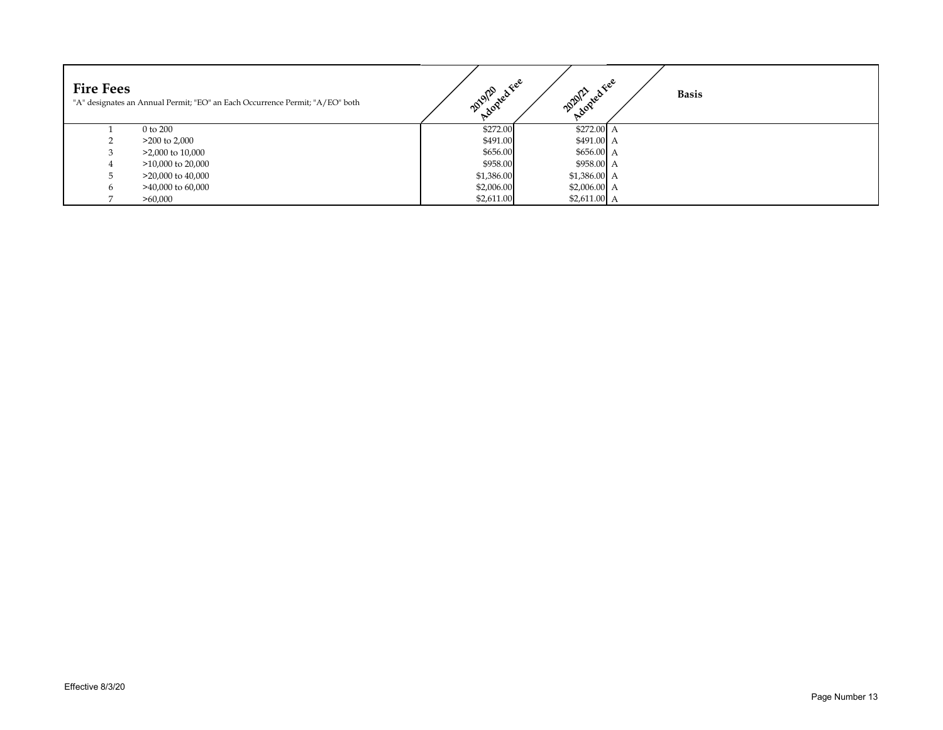| <b>Fire Fees</b> | "A" designates an Annual Permit; "EO" an Each Occurrence Permit; "A/EO" both | Adopted Fee<br>2019/20 | 2020/21<br>Adopted 1 | $\mathcal{R}e^{\mathcal{C}}$<br><b>Basis</b> |
|------------------|------------------------------------------------------------------------------|------------------------|----------------------|----------------------------------------------|
|                  | 0 to 200                                                                     | \$272.00               | $$272.00 \text{ A}$  |                                              |
|                  | $>200$ to 2,000                                                              | \$491.00               | $$491.00 \text{ A}$  |                                              |
|                  | $>2,000$ to 10,000                                                           | \$656.00               | $$656.00\,A$         |                                              |
| $\pm$            | $>10,000$ to 20,000                                                          | \$958.00               | \$958.00 A           |                                              |
|                  | $>20,000$ to $40,000$                                                        | \$1,386.00             | $$1,386.00\ A$       |                                              |
| 6                | $>40,000$ to 60,000                                                          | \$2,006.00             | \$2,006.00 A         |                                              |
|                  | >60,000                                                                      | \$2,611.00             | \$2,611.00 A         |                                              |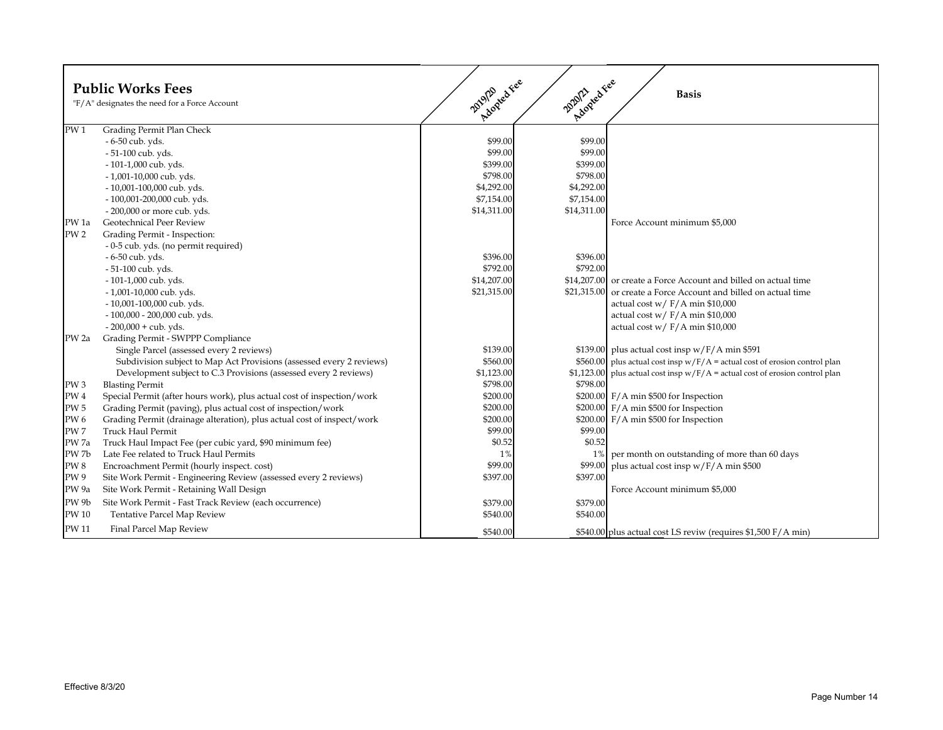| <b>Public Works Fees</b><br>"F/A" designates the need for a Force Account |                                                                        | Applyzaties<br>Adopted Fee<br>2019/20<br><b>Basis</b> |             |                                                                     |  |
|---------------------------------------------------------------------------|------------------------------------------------------------------------|-------------------------------------------------------|-------------|---------------------------------------------------------------------|--|
| PW <sub>1</sub>                                                           | Grading Permit Plan Check                                              |                                                       |             |                                                                     |  |
|                                                                           | - 6-50 cub. yds.                                                       | \$99.00                                               | \$99.00     |                                                                     |  |
|                                                                           | - 51-100 cub. yds.                                                     | \$99.00                                               | \$99.00     |                                                                     |  |
|                                                                           | - 101-1,000 cub. yds.                                                  | \$399.00                                              | \$399.00    |                                                                     |  |
|                                                                           | - 1,001-10,000 cub. yds.                                               | \$798.00                                              | \$798.00    |                                                                     |  |
|                                                                           | - 10,001-100,000 cub. yds.                                             | \$4,292.00                                            | \$4,292.00  |                                                                     |  |
|                                                                           | - 100,001-200,000 cub. yds.                                            | \$7,154.00                                            | \$7,154.00  |                                                                     |  |
|                                                                           | - 200,000 or more cub. yds.                                            | \$14,311.00                                           | \$14,311.00 |                                                                     |  |
| PW 1a                                                                     | Geotechnical Peer Review                                               |                                                       |             | Force Account minimum \$5,000                                       |  |
| PW <sub>2</sub>                                                           | Grading Permit - Inspection:                                           |                                                       |             |                                                                     |  |
|                                                                           | - 0-5 cub. yds. (no permit required)                                   |                                                       |             |                                                                     |  |
|                                                                           | - 6-50 cub. yds.                                                       | \$396.00                                              | \$396.00    |                                                                     |  |
|                                                                           | - 51-100 cub. yds.                                                     | \$792.00                                              | \$792.00    |                                                                     |  |
|                                                                           | - 101-1,000 cub. yds.                                                  | \$14,207.00                                           |             | \$14,207.00 or create a Force Account and billed on actual time     |  |
|                                                                           | - 1,001-10,000 cub. yds.                                               | \$21,315.00                                           |             | \$21,315.00 or create a Force Account and billed on actual time     |  |
|                                                                           | - 10,001-100,000 cub. yds.                                             |                                                       |             | actual cost w/ $F/A$ min \$10,000                                   |  |
|                                                                           | - 100,000 - 200,000 cub. yds.                                          |                                                       |             | actual cost w/ $F/A$ min \$10,000                                   |  |
|                                                                           | $-200,000 + cub. yds.$                                                 |                                                       |             | actual cost w/ $F/A$ min \$10,000                                   |  |
| PW <sub>2a</sub>                                                          | Grading Permit - SWPPP Compliance                                      |                                                       |             |                                                                     |  |
|                                                                           | Single Parcel (assessed every 2 reviews)                               | \$139.00                                              |             | \$139.00 plus actual cost insp $w/F/A$ min \$591                    |  |
|                                                                           | Subdivision subject to Map Act Provisions (assessed every 2 reviews)   | \$560.00                                              | \$560.00    | plus actual cost insp $w/F/A$ = actual cost of erosion control plan |  |
|                                                                           | Development subject to C.3 Provisions (assessed every 2 reviews)       | \$1,123.00                                            | \$1,123.00  | plus actual cost insp $w/F/A$ = actual cost of erosion control plan |  |
| PW <sub>3</sub>                                                           | <b>Blasting Permit</b>                                                 | \$798.00                                              | \$798.00    |                                                                     |  |
| $\mathrm{PW}\,4$                                                          | Special Permit (after hours work), plus actual cost of inspection/work | \$200.00                                              |             | $$200.00$ F/A min \$500 for Inspection                              |  |
| <b>PW 5</b>                                                               | Grading Permit (paving), plus actual cost of inspection/work           | \$200.00                                              |             | $$200.00$ F/A min \$500 for Inspection                              |  |
| <b>PW6</b>                                                                | Grading Permit (drainage alteration), plus actual cost of inspect/work | \$200.00                                              |             | $$200.00$ F/A min \$500 for Inspection                              |  |
| PW <sub>7</sub>                                                           | <b>Truck Haul Permit</b>                                               | \$99.00                                               | \$99.00     |                                                                     |  |
| PW 7a                                                                     | Truck Haul Impact Fee (per cubic yard, \$90 minimum fee)               | \$0.52                                                | \$0.52      |                                                                     |  |
| PW 7b                                                                     | Late Fee related to Truck Haul Permits                                 | 1%                                                    |             | 1% per month on outstanding of more than 60 days                    |  |
| $\mathrm{PW}\,8$                                                          | Encroachment Permit (hourly inspect. cost)                             | \$99.00                                               |             | \$99.00 plus actual cost insp $w/F/A$ min \$500                     |  |
| <b>PW9</b>                                                                | Site Work Permit - Engineering Review (assessed every 2 reviews)       | \$397.00                                              | \$397.00    |                                                                     |  |
| PW <sub>9a</sub>                                                          | Site Work Permit - Retaining Wall Design                               |                                                       |             | Force Account minimum \$5,000                                       |  |
| PW 9b                                                                     | Site Work Permit - Fast Track Review (each occurrence)                 | \$379.00                                              | \$379.00    |                                                                     |  |
| <b>PW 10</b>                                                              | <b>Tentative Parcel Map Review</b>                                     | \$540.00                                              | \$540.00    |                                                                     |  |
| PW 11                                                                     | Final Parcel Map Review                                                | \$540.00                                              |             | \$540.00 plus actual cost LS reviw (requires \$1,500 F/A min)       |  |